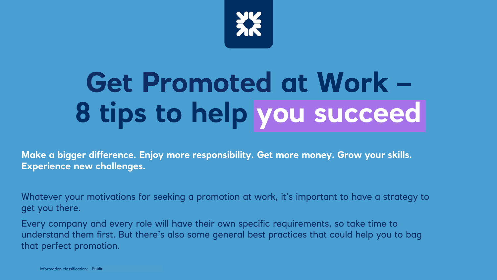

# **Get Promoted at Work – 8 tips to help you succeed**

**Make a bigger difference. Enjoy more responsibility. Get more money. Grow your skills. Experience new challenges.**

Whatever your motivations for seeking a promotion at work, it's important to have a strategy to get you there.

Every company and every role will have their own specific requirements, so take time to understand them first. But there's also some general best practices that could help you to bag that perfect promotion.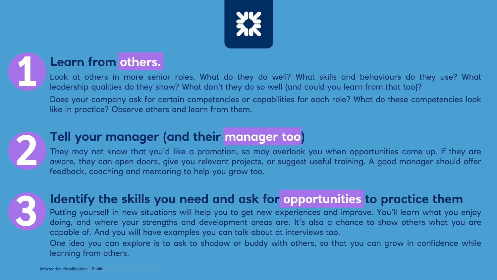

#### **Learn from others.**

Look at others in more senior roles. What do they do well? What skills and behaviours do they use? What leadership qualities do they show? What don't they do so well (and could you learn from that too)?

Does your company ask for certain competencies or capabilities for each role? What do these competencies look like in practice? Observe others and learn from them.



## **Tell your manager (and their manager too)**

They may not know that you'd like a promotion, so may overlook you when opportunities come up. If they are aware, they can open doors, give you relevant projects, or suggest useful training. A good manager should offer feedback, coaching and mentoring to help you grow too.



## **Identify the skills you need and ask for opportunities to practice them**

Putting yourself in new situations will help you to get new experiences and improve. You'll learn what you enjoy doing, and where your strengths and development areas are. It's also a chance to show others what you are capable of. And you will have examples you can talk about at interviews too.

One idea you can explore is to ask to shadow or buddy with others, so that you can grow in confidence while learning from others.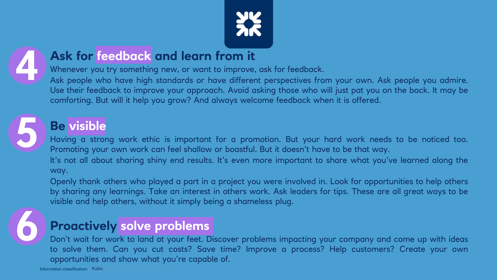



## **Ask for feedback and learn from it**

Whenever you try something new, or want to improve, ask for feedback.

Ask people who have high standards or have different perspectives from your own. Ask people you admire. Use their feedback to improve your approach. Avoid asking those who will just pat you on the back. It may be comforting. But will it help you grow? And always welcome feedback when it is offered.



# **Be visible**

Having a strong work ethic is important for a promotion. But your hard work needs to be noticed too. Promoting your own work can feel shallow or boastful. But it doesn't have to be that way.

It's not all about sharing shiny end results. It's even more important to share what you've learned along the way.

Openly thank others who played a part in a project you were involved in. Look for opportunities to help others by sharing any learnings. Take an interest in others work. Ask leaders for tips. These are all great ways to be visible and help others, without it simply being a shameless plug.



## **Proactively solve problems**

Don't wait for work to land at your feet. Discover problems impacting your company and come up with ideas to solve them. Can you cut costs? Save time? Improve a process? Help customers? Create your own opportunities and show what you're capable of.

Information classification: Public